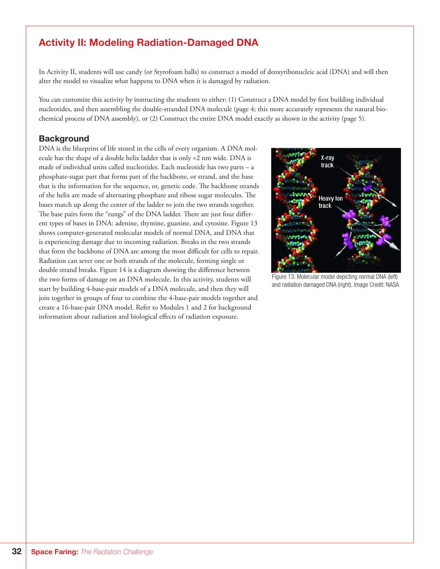# Activity II: Modeling Radiation-Damaged DNA

In Activity II, students will use candy (or Styrofoam balls) to construct a model of deoxyribonucleic acid (DNA) and will then alter the model to visualize what happens to DNA when it is damaged by radiation.

You can customize this activity by instructing the students to either: (1) Construct a DNA model by first building individual nucleotides, and then assembling the double-stranded DNA molecule (page 4; this more accurately represents the natural biochemical process of DNA assembly), or (2) Construct the entire DNA model exactly as shown in the activity (page 5).

## Background

DNA is the blueprint of life stored in the cells of every organism. A DNA molecule has the shape of a double helix ladder that is only  $\approx$  2 nm wide. DNA is made of individual units called nucleotides. Each nucleotide has two parts – a phosphate-sugar part that forms part of the backbone, or strand, and the base that is the information for the sequence, or, genetic code. The backbone strands of the helix are made of alternating phosphate and ribose sugar molecules. The bases match up along the center of the ladder to join the two strands together. The base pairs form the "rungs" of the DNA ladder. There are just four different types of bases in DNA: adenine, thymine, guanine, and cytosine. Figure 13 shows computer-generated molecular models of normal DNA, and DNA that is experiencing damage due to incoming radiation. Breaks in the two strands that form the backbone of DNA are among the most difficult for cells to repair. Radiation can sever one or both strands of the molecule, forming single or double strand breaks. Figure 14 is a diagram showing the difference between the two forms of damage on an DNA molecule. In this activity, students will start by building 4-base-pair models of a DNA molecule, and then they will join together in groups of four to combine the 4-base-pair models together and create a 16-base-pair DNA model. Refer to Modules 1 and 2 for background information about radiation and biological effects of radiation exposure.



Figure 13: Molecular model depicting normal DNA (left) and radiation damaged DNA (right). Image Credit: NASA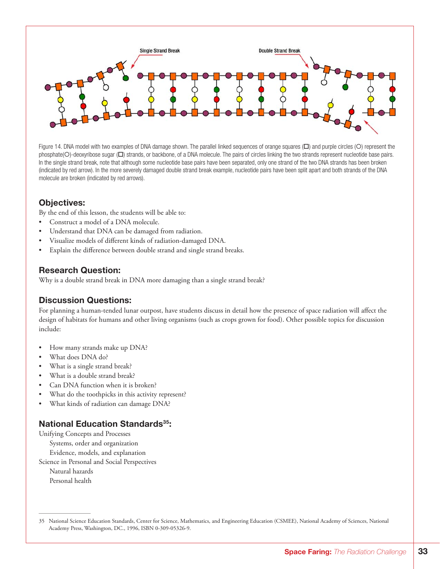

Figure 14. DNA model with two examples of DNA damage shown. The parallel linked sequences of orange squares  $(\Box)$  and purple circles  $(\bigcirc)$  represent the phosphate(O)-deoxyribose sugar ( $\square$ ) strands, or backbone, of a DNA molecule. The pairs of circles linking the two strands represent nucleotide base pairs. In the single strand break, note that although some nucleotide base pairs have been separated, only one strand of the two DNA strands has been broken (indicated by red arrow). In the more severely damaged double strand break example, nucleotide pairs have been split apart and both strands of the DNA molecule are broken (indicated by red arrows).

## Objectives:

By the end of this lesson, the students will be able to:

- Construct a model of a DNA molecule.
- Understand that DNA can be damaged from radiation.
- Visualize models of different kinds of radiation-damaged DNA.
- Explain the difference between double strand and single strand breaks.

## Research Question:

Why is a double strand break in DNA more damaging than a single strand break?

## Discussion Questions:

For planning a human-tended lunar outpost, have students discuss in detail how the presence of space radiation will affect the design of habitats for humans and other living organisms (such as crops grown for food). Other possible topics for discussion include:

- How many strands make up DNA?
- What does DNA do?
- What is a single strand break?
- What is a double strand break?
- Can DNA function when it is broken?
- What do the toothpicks in this activity represent?
- What kinds of radiation can damage DNA?

## National Education Standards<sup>35</sup>:

Unifying Concepts and Processes Systems, order and organization Evidence, models, and explanation Science in Personal and Social Perspectives Natural hazards Personal health

<sup>35</sup> National Science Education Standards, Center for Science, Mathematics, and Engineering Education (CSMEE), National Academy of Sciences, National Academy Press, Washington, DC., 1996, ISBN 0-309-05326-9.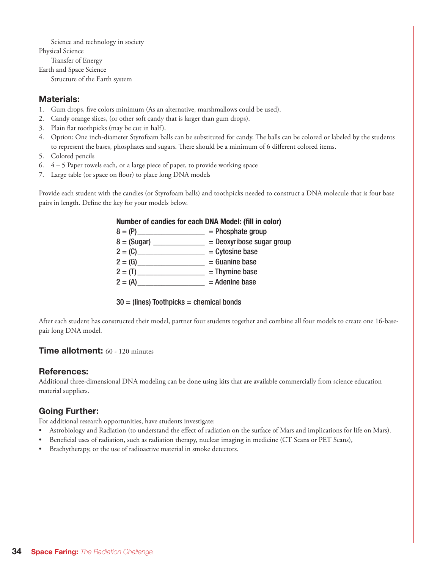Science and technology in society Physical Science

Transfer of Energy

Earth and Space Science

Structure of the Earth system

## Materials:

- 1. Gum drops, five colors minimum (As an alternative, marshmallows could be used).
- 2. Candy orange slices, (or other soft candy that is larger than gum drops).
- 3. Plain flat toothpicks (may be cut in half).
- 4. Option: One inch-diameter Styrofoam balls can be substituted for candy. The balls can be colored or labeled by the students to represent the bases, phosphates and sugars. There should be a minimum of 6 different colored items.
- 5. Colored pencils
- 6. 4 5 Paper towels each, or a large piece of paper, to provide working space
- 7. Large table (or space on floor) to place long DNA models

Provide each student with the candies (or Styrofoam balls) and toothpicks needed to construct a DNA molecule that is four base pairs in length. Define the key for your models below.

| Number of candies for each DNA Model: (fill in color) |  |  |
|-------------------------------------------------------|--|--|
|-------------------------------------------------------|--|--|

| $8 = (P)$     | $=$ Phosphate group         |
|---------------|-----------------------------|
| $8 = (Sugar)$ | $=$ Deoxyribose sugar group |
| $2 = (C)$     | $=$ Cytosine base           |
| $2 = (G)$     | $=$ Guanine base            |
| $2 = (T)$     | $=$ Thymine base            |
| $2 = (A)$     | $=$ Adenine base            |
|               |                             |

### $30 =$  (lines) Toothpicks = chemical bonds

After each student has constructed their model, partner four students together and combine all four models to create one 16-basepair long DNA model.

## Time allotment: 60 - 120 minutes

### References:

Additional three-dimensional DNA modeling can be done using kits that are available commercially from science education material suppliers.

# Going Further:

For additional research opportunities, have students investigate:

- Astrobiology and Radiation (to understand the effect of radiation on the surface of Mars and implications for life on Mars).
- Beneficial uses of radiation, such as radiation therapy, nuclear imaging in medicine (CT Scans or PET Scans),
- Brachytherapy, or the use of radioactive material in smoke detectors.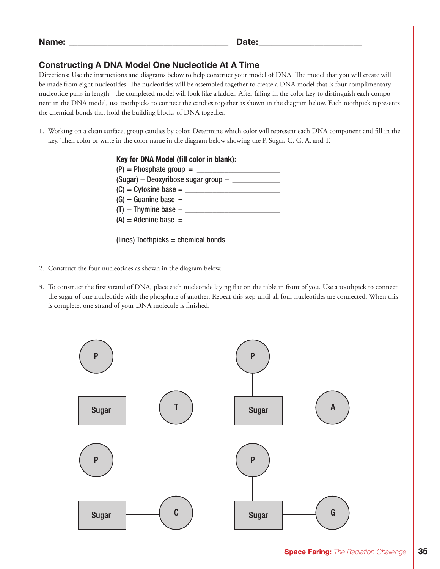| Name:<br>$ -$ | .<br>. .<br>$-$ |
|---------------|-----------------|
|               |                 |

## Constructing A DNA Model One Nucleotide At A Time

Directions: Use the instructions and diagrams below to help construct your model of DNA. The model that you will create will be made from eight nucleotides. The nucleotides will be assembled together to create a DNA model that is four complimentary nucleotide pairs in length - the completed model will look like a ladder. After filling in the color key to distinguish each component in the DNA model, use toothpicks to connect the candies together as shown in the diagram below. Each toothpick represents the chemical bonds that hold the building blocks of DNA together.

1. Working on a clean surface, group candies by color. Determine which color will represent each DNA component and fill in the key. Then color or write in the color name in the diagram below showing the P, Sugar, C, G, A, and T.



(lines) Toothpicks = chemical bonds

- 2. Construct the four nucleotides as shown in the diagram below.
- 3. To construct the first strand of DNA, place each nucleotide laying flat on the table in front of you. Use a toothpick to connect the sugar of one nucleotide with the phosphate of another. Repeat this step until all four nucleotides are connected. When this is complete, one strand of your DNA molecule is finished.

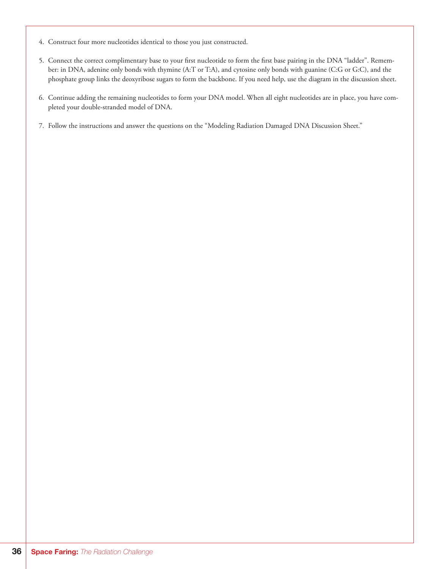- 4. Construct four more nucleotides identical to those you just constructed.
- 5. Connect the correct complimentary base to your first nucleotide to form the first base pairing in the DNA "ladder". Remember: in DNA, adenine only bonds with thymine (A:T or T:A), and cytosine only bonds with guanine (C:G or G:C), and the phosphate group links the deoxyribose sugars to form the backbone. If you need help, use the diagram in the discussion sheet.
- 6. Continue adding the remaining nucleotides to form your DNA model. When all eight nucleotides are in place, you have completed your double-stranded model of DNA.
- 7. Follow the instructions and answer the questions on the "Modeling Radiation Damaged DNA Discussion Sheet."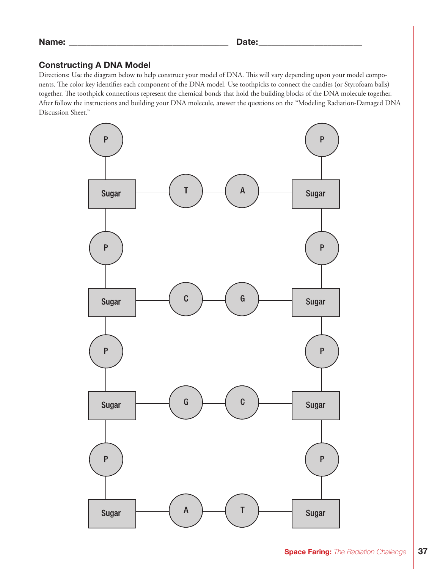#### Name: \_\_\_\_\_\_\_\_\_\_\_\_\_\_\_\_\_\_\_\_\_\_\_\_\_\_\_\_\_\_\_\_\_\_\_\_\_ Date:\_\_\_\_\_\_\_\_\_\_\_\_\_\_\_\_\_\_\_\_\_\_\_\_

## Constructing A DNA Model

Directions: Use the diagram below to help construct your model of DNA. This will vary depending upon your model components. The color key identifies each component of the DNA model. Use toothpicks to connect the candies (or Styrofoam balls) together. The toothpick connections represent the chemical bonds that hold the building blocks of the DNA molecule together. After follow the instructions and building your DNA molecule, answer the questions on the "Modeling Radiation-Damaged DNA Discussion Sheet."

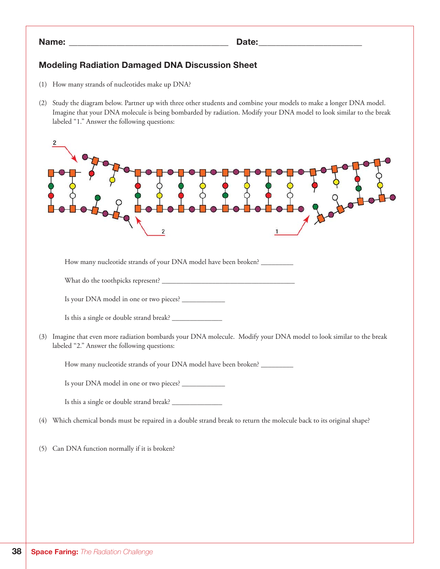### Name: \_\_\_\_\_\_\_\_\_\_\_\_\_\_\_\_\_\_\_\_\_\_\_\_\_\_\_\_\_\_\_\_\_\_\_\_\_ Date:\_\_\_\_\_\_\_\_\_\_\_\_\_\_\_\_\_\_\_\_\_\_\_\_

## Modeling Radiation Damaged DNA Discussion Sheet

- (1) How many strands of nucleotides make up DNA?
- (2) Study the diagram below. Partner up with three other students and combine your models to make a longer DNA model. Imagine that your DNA molecule is being bombarded by radiation. Modify your DNA model to look similar to the break labeled "1." Answer the following questions:

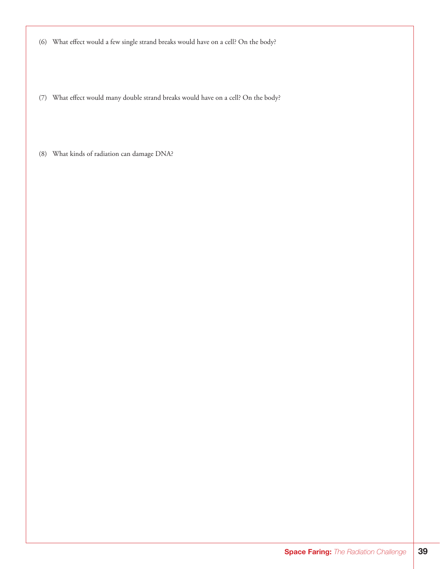(6) What effect would a few single strand breaks would have on a cell? On the body?

(7) What effect would many double strand breaks would have on a cell? On the body?

(8) What kinds of radiation can damage DNA?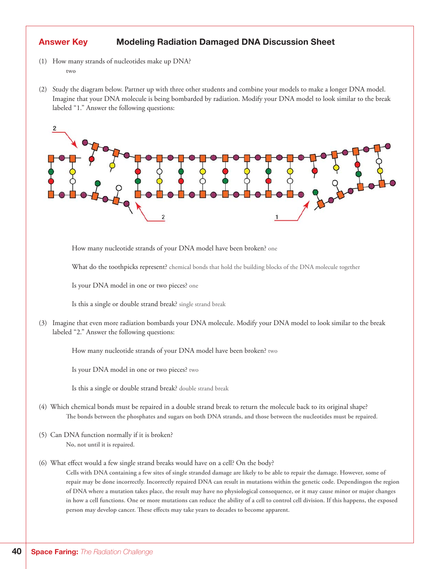## Answer Key Modeling Radiation Damaged DNA Discussion Sheet

- (1) How many strands of nucleotides make up DNA?  **two**
- (2) Study the diagram below. Partner up with three other students and combine your models to make a longer DNA model. Imagine that your DNA molecule is being bombarded by radiation. Modify your DNA model to look similar to the break labeled "1." Answer the following questions:



How many nucleotide strands of your DNA model have been broken? one

What do the toothpicks represent? chemical bonds that hold the building blocks of the DNA molecule together

Is your DNA model in one or two pieces? one

Is this a single or double strand break? single strand break

(3) Imagine that even more radiation bombards your DNA molecule. Modify your DNA model to look similar to the break labeled "2." Answer the following questions:

How many nucleotide strands of your DNA model have been broken? two

Is your DNA model in one or two pieces? two

Is this a single or double strand break? double strand break

- (4) Which chemical bonds must be repaired in a double strand break to return the molecule back to its original shape?  **The bonds between the phosphates and sugars on both DNA strands, and those between the nucleotides must be repaired.**
- (5) Can DNA function normally if it is broken?  **No, not until it is repaired.**

#### (6) What effect would a few single strand breaks would have on a cell? On the body?

**Cells with DNA containing a few sites of single stranded damage are likely to be able to repair the damage. However, some of repair may be done incorrectly. Incorrectly repaired DNA can result in mutations within the genetic code. Dependingon the region of DNA where a mutation takes place, the result may have no physiological consequence, or it may cause minor or major changes in how a cell functions. One or more mutations can reduce the ability of a cell to control cell division. If this happens, the exposed person may develop cancer. These effects may take years to decades to become apparent.**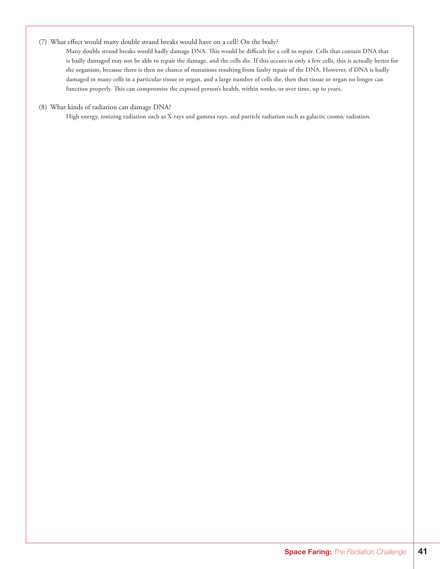#### (7) What effect would many double strand breaks would have on a cell? On the body?

 **Many double strand breaks would badly damage DNA. This would be difficult for a cell to repair. Cells that contain DNA that is badly damaged may not be able to repair the damage, and the cells die. If this occurs in only a few cells, this is actually better for the organism, because there is then no chance of mutations resulting from faulty repair of the DNA. However, if DNA is badly damaged in many cells in a particular tissue or organ, and a large number of cells die, then that tissue or organ no longer can function properly. This can compromise the exposed person's health, within weeks, or over time, up to years.** 

#### (8) What kinds of radiation can damage DNA?

 **High energy, ionizing radiation such as X-rays and gamma rays, and particle radiation such as galactic cosmic radiation.**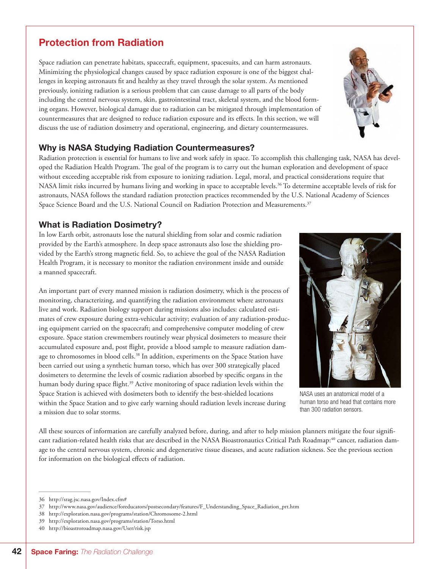# Protection from Radiation

Space radiation can penetrate habitats, spacecraft, equipment, spacesuits, and can harm astronauts. Minimizing the physiological changes caused by space radiation exposure is one of the biggest challenges in keeping astronauts fit and healthy as they travel through the solar system. As mentioned previously, ionizing radiation is a serious problem that can cause damage to all parts of the body including the central nervous system, skin, gastrointestinal tract, skeletal system, and the blood forming organs. However, biological damage due to radiation can be mitigated through implementation of countermeasures that are designed to reduce radiation exposure and its effects. In this section, we will discuss the use of radiation dosimetry and operational, engineering, and dietary countermeasures.

## Why is NASA Studying Radiation Countermeasures?

Radiation protection is essential for humans to live and work safely in space. To accomplish this challenging task, NASA has developed the Radiation Health Program. The goal of the program is to carry out the human exploration and development of space without exceeding acceptable risk from exposure to ionizing radiation. Legal, moral, and practical considerations require that NASA limit risks incurred by humans living and working in space to acceptable levels.<sup>36</sup> To determine acceptable levels of risk for astronauts, NASA follows the standard radiation protection practices recommended by the U.S. National Academy of Sciences Space Science Board and the U.S. National Council on Radiation Protection and Measurements.<sup>37</sup>

## What is Radiation Dosimetry?

In low Earth orbit, astronauts lose the natural shielding from solar and cosmic radiation provided by the Earth's atmosphere. In deep space astronauts also lose the shielding provided by the Earth's strong magnetic field. So, to achieve the goal of the NASA Radiation Health Program, it is necessary to monitor the radiation environment inside and outside a manned spacecraft.

An important part of every manned mission is radiation dosimetry, which is the process of monitoring, characterizing, and quantifying the radiation environment where astronauts live and work. Radiation biology support during missions also includes: calculated estimates of crew exposure during extra-vehicular activity; evaluation of any radiation-producing equipment carried on the spacecraft; and comprehensive computer modeling of crew exposure. Space station crewmembers routinely wear physical dosimeters to measure their accumulated exposure and, post flight, provide a blood sample to measure radiation damage to chromosomes in blood cells.<sup>38</sup> In addition, experiments on the Space Station have been carried out using a synthetic human torso, which has over 300 strategically placed dosimeters to determine the levels of cosmic radiation absorbed by specific organs in the human body during space flight.<sup>39</sup> Active monitoring of space radiation levels within the Space Station is achieved with dosimeters both to identify the best-shielded locations within the Space Station and to give early warning should radiation levels increase during a mission due to solar storms.

NASA uses an anatomical model of a human torso and head that contains more than 300 radiation sensors.

All these sources of information are carefully analyzed before, during, and after to help mission planners mitigate the four significant radiation-related health risks that are described in the NASA Bioastronautics Critical Path Roadmap:<sup>40</sup> cancer, radiation damage to the central nervous system, chronic and degenerative tissue diseases, and acute radiation sickness. See the previous section for information on the biological effects of radiation.



<sup>36</sup> http://srag.jsc.nasa.gov/Index.cfm#

<sup>37</sup> http://www.nasa.gov/audience/foreducators/postsecondary/features/F\_Understanding\_Space\_Radiation\_prt.htm

<sup>38</sup> http://exploration.nasa.gov/programs/station/Chromosome-2.html

<sup>39</sup> http://exploration.nasa.gov/programs/station/Torso.html

<sup>40</sup> http://bioastroroadmap.nasa.gov/User/risk.jsp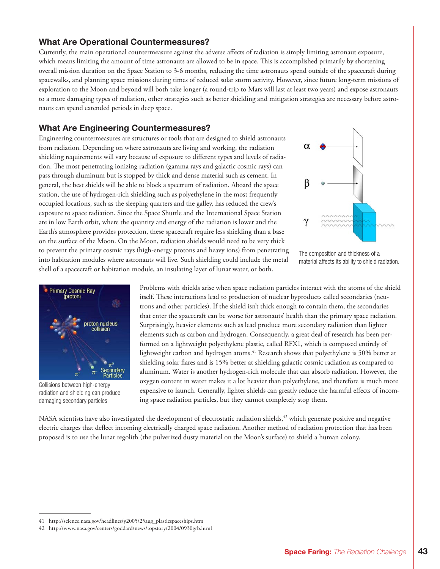### What Are Operational Countermeasures?

Currently, the main operational countermeasure against the adverse affects of radiation is simply limiting astronaut exposure, which means limiting the amount of time astronauts are allowed to be in space. This is accomplished primarily by shortening overall mission duration on the Space Station to 3-6 months, reducing the time astronauts spend outside of the spacecraft during spacewalks, and planning space missions during times of reduced solar storm activity. However, since future long-term missions of exploration to the Moon and beyond will both take longer (a round-trip to Mars will last at least two years) and expose astronauts to a more damaging types of radiation, other strategies such as better shielding and mitigation strategies are necessary before astronauts can spend extended periods in deep space.

### What Are Engineering Countermeasures?

Engineering countermeasures are structures or tools that are designed to shield astronauts from radiation. Depending on where astronauts are living and working, the radiation shielding requirements will vary because of exposure to different types and levels of radiation. The most penetrating ionizing radiation (gamma rays and galactic cosmic rays) can pass through aluminum but is stopped by thick and dense material such as cement. In general, the best shields will be able to block a spectrum of radiation. Aboard the space station, the use of hydrogen-rich shielding such as polyethylene in the most frequently occupied locations, such as the sleeping quarters and the galley, has reduced the crew's exposure to space radiation. Since the Space Shuttle and the International Space Station are in low Earth orbit, where the quantity and energy of the radiation is lower and the Earth's atmosphere provides protection, these spacecraft require less shielding than a base on the surface of the Moon. On the Moon, radiation shields would need to be very thick to prevent the primary cosmic rays (high-energy protons and heavy ions) from penetrating into habitation modules where astronauts will live. Such shielding could include the metal shell of a spacecraft or habitation module, an insulating layer of lunar water, or both.



The composition and thickness of a material affects its ability to shield radiation.



Collisions between high-energy radiation and shielding can produce damaging secondary particles.

Problems with shields arise when space radiation particles interact with the atoms of the shield itself. These interactions lead to production of nuclear byproducts called secondaries (neutrons and other particles). If the shield isn't thick enough to contain them, the secondaries that enter the spacecraft can be worse for astronauts' health than the primary space radiation. Surprisingly, heavier elements such as lead produce more secondary radiation than lighter elements such as carbon and hydrogen. Consequently, a great deal of research has been performed on a lightweight polyethylene plastic, called RFX1, which is composed entirely of lightweight carbon and hydrogen atoms.<sup>41</sup> Research shows that polyethylene is 50% better at shielding solar flares and is 15% better at shielding galactic cosmic radiation as compared to aluminum. Water is another hydrogen-rich molecule that can absorb radiation. However, the oxygen content in water makes it a lot heavier than polyethylene, and therefore is much more expensive to launch. Generally, lighter shields can greatly reduce the harmful effects of incoming space radiation particles, but they cannot completely stop them.

NASA scientists have also investigated the development of electrostatic radiation shields,<sup>42</sup> which generate positive and negative electric charges that deflect incoming electrically charged space radiation. Another method of radiation protection that has been proposed is to use the lunar regolith (the pulverized dusty material on the Moon's surface) to shield a human colony.

<sup>41</sup> http://science.nasa.gov/headlines/y2005/25aug\_plasticspaceships.htm

<sup>42</sup> http://www.nasa.gov/centers/goddard/news/topstory/2004/0930grb.html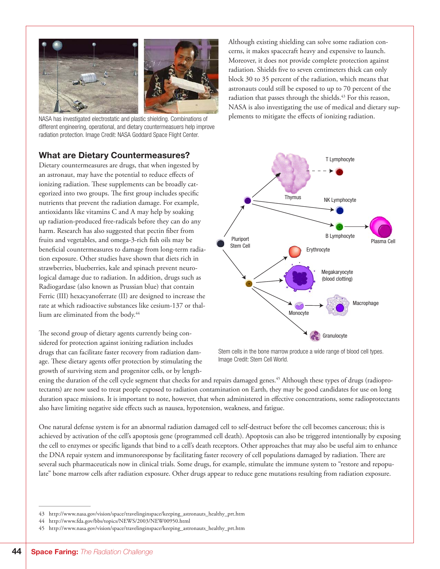

NASA has investigated electrostatic and plastic shielding. Combinations of plements to mitigate the effects of ionizing radiation. different engineering, operational, and dietary countermeasuers help improve radiation protection. Image Credit: NASA Goddard Space Flight Center.

## What are Dietary Countermeasures?

Dietary countermeasures are drugs, that when ingested by an astronaut, may have the potential to reduce effects of ionizing radiation. These supplements can be broadly categorized into two groups. The first group includes specific nutrients that prevent the radiation damage. For example, antioxidants like vitamins C and A may help by soaking up radiation-produced free-radicals before they can do any harm. Research has also suggested that pectin fiber from fruits and vegetables, and omega-3-rich fish oils may be beneficial countermeasures to damage from long-term radiation exposure. Other studies have shown that diets rich in strawberries, blueberries, kale and spinach prevent neurological damage due to radiation. In addition, drugs such as Radiogardase (also known as Prussian blue) that contain Ferric (III) hexacyanoferrate (II) are designed to increase the rate at which radioactive substances like cesium-137 or thallium are eliminated from the body.<sup>44</sup>

The second group of dietary agents currently being considered for protection against ionizing radiation includes drugs that can facilitate faster recovery from radiation damage. These dietary agents offer protection by stimulating the growth of surviving stem and progenitor cells, or by length-

Although existing shielding can solve some radiation concerns, it makes spacecraft heavy and expensive to launch. Moreover, it does not provide complete protection against radiation. Shields five to seven centimeters thick can only block 30 to 35 percent of the radiation, which means that astronauts could still be exposed to up to 70 percent of the radiation that passes through the shields.<sup>43</sup> For this reason, NASA is also investigating the use of medical and dietary sup-



Stem cells in the bone marrow produce a wide range of blood cell types. Image Credit: Stem Cell World.

ening the duration of the cell cycle segment that checks for and repairs damaged genes.<sup>45</sup> Although these types of drugs (radioprotectants) are now used to treat people exposed to radiation contamination on Earth, they may be good candidates for use on long duration space missions. It is important to note, however, that when administered in effective concentrations, some radioprotectants also have limiting negative side effects such as nausea, hypotension, weakness, and fatigue.

One natural defense system is for an abnormal radiation damaged cell to self-destruct before the cell becomes cancerous; this is achieved by activation of the cell's apoptosis gene (programmed cell death). Apoptosis can also be triggered intentionally by exposing the cell to enzymes or specific ligands that bind to a cell's death receptors. Other approaches that may also be useful aim to enhance the DNA repair system and immunoresponse by facilitating faster recovery of cell populations damaged by radiation. There are several such pharmaceuticals now in clinical trials. Some drugs, for example, stimulate the immune system to "restore and repopulate" bone marrow cells after radiation exposure. Other drugs appear to reduce gene mutations resulting from radiation exposure.

<sup>43</sup> http://www.nasa.gov/vision/space/travelinginspace/keeping\_astronauts\_healthy\_prt.htm

<sup>44</sup> http://www.fda.gov/bbs/topics/NEWS/2003/NEW00950.html

<sup>45</sup> http://www.nasa.gov/vision/space/travelinginspace/keeping\_astronauts\_healthy\_prt.htm